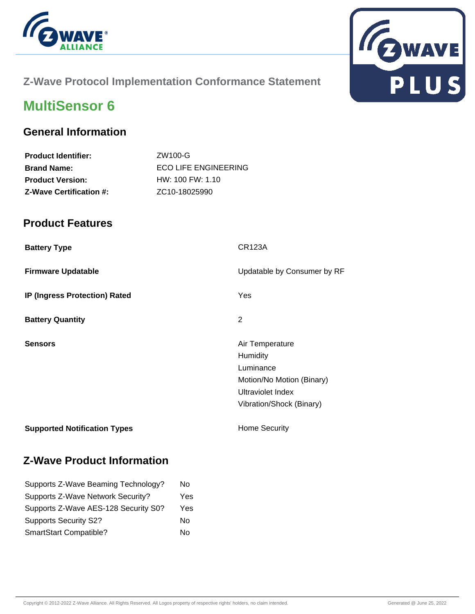



# **Z-Wave Protocol Implementation Conformance Statement**

# **MultiSensor 6**

### **General Information**

| <b>Product Identifier:</b>     | ZW100-G                     |
|--------------------------------|-----------------------------|
| <b>Brand Name:</b>             | <b>ECO LIFE ENGINEERING</b> |
| <b>Product Version:</b>        | $HW: 100$ FW: 1.10          |
| <b>Z-Wave Certification #:</b> | ZC <sub>10</sub> -18025990  |

#### **Product Features**

| <b>Battery Type</b>                 | <b>CR123A</b>                                                                                                          |
|-------------------------------------|------------------------------------------------------------------------------------------------------------------------|
| <b>Firmware Updatable</b>           | Updatable by Consumer by RF                                                                                            |
| IP (Ingress Protection) Rated       | Yes                                                                                                                    |
| <b>Battery Quantity</b>             | 2                                                                                                                      |
| <b>Sensors</b>                      | Air Temperature<br>Humidity<br>Luminance<br>Motion/No Motion (Binary)<br>Ultraviolet Index<br>Vibration/Shock (Binary) |
| <b>Supported Notification Types</b> | <b>Home Security</b>                                                                                                   |

## **Z-Wave Product Information**

| Supports Z-Wave Beaming Technology?  | No  |
|--------------------------------------|-----|
| Supports Z-Wave Network Security?    | Yes |
| Supports Z-Wave AES-128 Security S0? | Yes |
| <b>Supports Security S2?</b>         | No  |
| SmartStart Compatible?               | No  |